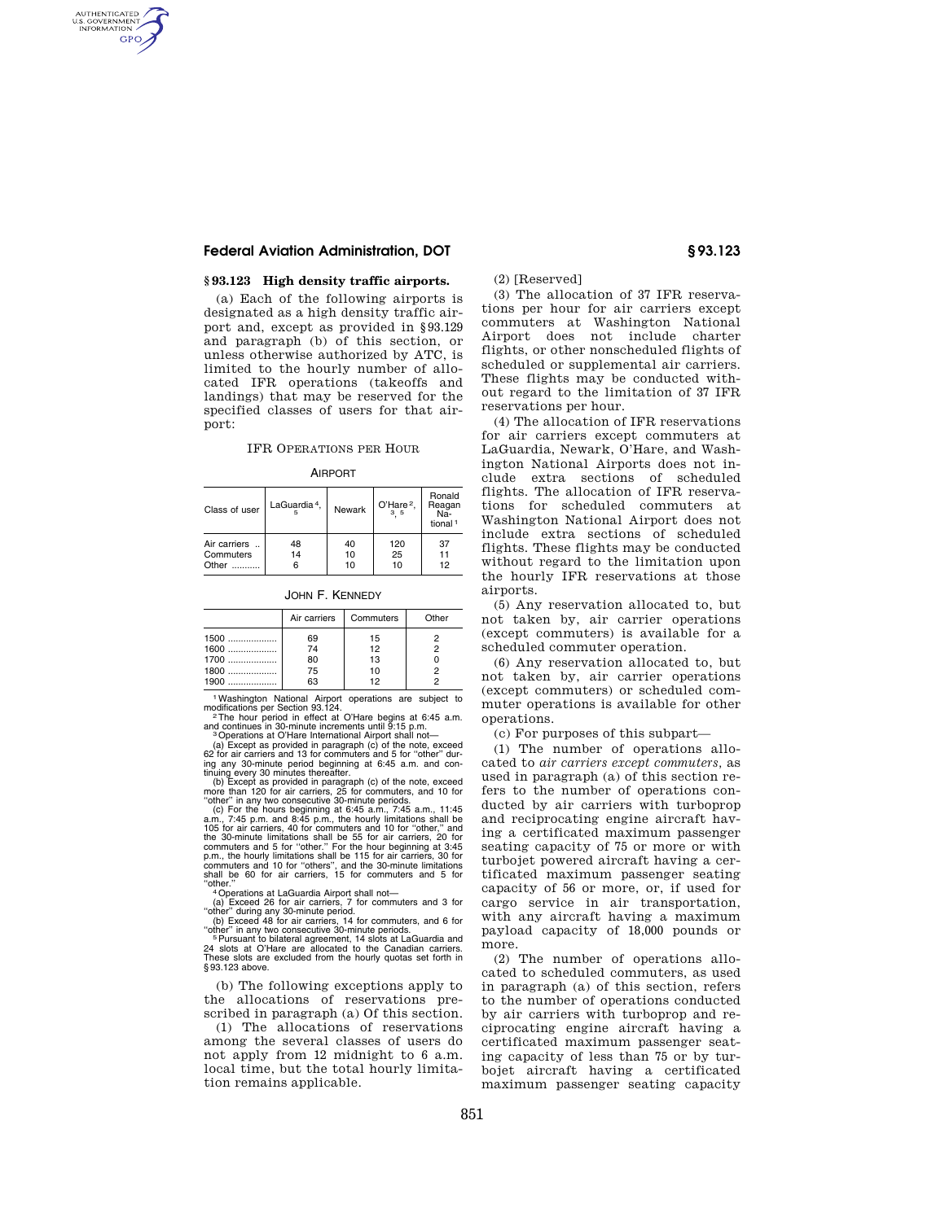## **Federal Aviation Administration, DOT § 93.123**

AUTHENTICATED<br>U.S. GOVERNMENT<br>INFORMATION **GPO** 

## **§ 93.123 High density traffic airports.**

(a) Each of the following airports is designated as a high density traffic airport and, except as provided in §93.129 and paragraph (b) of this section, or unless otherwise authorized by ATC, is limited to the hourly number of allocated IFR operations (takeoffs and landings) that may be reserved for the specified classes of users for that airport:

## IFR OPERATIONS PER HOUR

AIRPORT

| Class of user | LaGuardia <sup>4</sup> . | Newark | O'Hare <sup>2</sup> , | Ronald<br>Reagan<br>-Na<br>tional <sup>1</sup> |
|---------------|--------------------------|--------|-----------------------|------------------------------------------------|
| Air carriers  | 48                       | 40     | 120                   | 37                                             |
| Commuters     | 14                       | 10     | 25                    | 11                                             |
| Other         | 6                        | 10     | 10                    | 12                                             |

JOHN F. KENNEDY

|                | Air carriers | Commuters | Other |
|----------------|--------------|-----------|-------|
| $1500$         | 69           | 15        |       |
| 1600<br>$1700$ | 74<br>80     | 12<br>13  |       |
| 1800           | 75           | 10        |       |
| 1900           | 63           | 12        |       |

1Washington National Airport operations are subject to modifications per Section 93.124.<br><sup>2</sup>The hour period in effect at O'Hare begins at 6:45 a.m.

and continues in 30-minute increments until 9:15 p.m.<br><sup>3</sup> Operations at O'Hare International Airport shall not—<br>(a) Except as provided in paragraph (c) of the note, exceed<br>62 for air carriers and 13 for commuters and 5 for

ing any 30-minute period beginning at 6:45 a.m. and con-tinuing every 30 minutes thereafter. (b) Except as provided in paragraph (c) of the note, exceed more than 120 for air carriers, 25 for commuters, and 10 for

"other" in any two consecutive 30-minute periods.<br>(c) For the hours beginning at 6:45 a.m., 7:45 a.m., 11:45<br>a.m., 7:45 p.m. and 8:45 p.m., the hourly limitations shall be<br>105 for air carriers, 40 for commuters and 10 for the 30-minute limitations shall be 55 for air carriers, 20 for<br>commuters and 5 for "other." For the hour beginning at 3:45<br>p.m., the hourly limitations shall be 115 for air carriers, 30 for<br>commuters and 10 for "others", a

"ther."<br>
"Alcoreations at LaGuardia Airport shall not—<br>
"(a) Exceed 26 for air carriers, 7 for commuters and 3 for<br>"other" during any 30-minute period.<br>
"(b) Exceed 48 for air carriers, 14 for commuters, and 6 for

"other" in any two consecutive 30-minute periods.<br><sup>5</sup> Pursuant to bilateral agreement, 14 slots at LaGuardia and<br>24 slots at O'Hare are allocated to the Canadian carriers.<br>These slots are excluded from the hourly quotas se § 93.123 above.

(b) The following exceptions apply to the allocations of reservations prescribed in paragraph (a) Of this section.

(1) The allocations of reservations among the several classes of users do not apply from 12 midnight to 6 a.m. local time, but the total hourly limitation remains applicable.

(2) [Reserved]

(3) The allocation of 37 IFR reservations per hour for air carriers except commuters at Washington National Airport does not include charter flights, or other nonscheduled flights of scheduled or supplemental air carriers. These flights may be conducted without regard to the limitation of 37 IFR reservations per hour.

(4) The allocation of IFR reservations for air carriers except commuters at LaGuardia, Newark, O'Hare, and Washington National Airports does not include extra sections of scheduled flights. The allocation of IFR reservations for scheduled commuters at Washington National Airport does not include extra sections of scheduled flights. These flights may be conducted without regard to the limitation upon the hourly IFR reservations at those airports.

(5) Any reservation allocated to, but not taken by, air carrier operations (except commuters) is available for a scheduled commuter operation.

(6) Any reservation allocated to, but not taken by, air carrier operations (except commuters) or scheduled commuter operations is available for other operations.

(c) For purposes of this subpart—

(1) The number of operations allocated to *air carriers except commuters,* as used in paragraph (a) of this section refers to the number of operations conducted by air carriers with turboprop and reciprocating engine aircraft having a certificated maximum passenger seating capacity of 75 or more or with turbojet powered aircraft having a certificated maximum passenger seating capacity of 56 or more, or, if used for cargo service in air transportation, with any aircraft having a maximum payload capacity of 18,000 pounds or more.

(2) The number of operations allocated to scheduled commuters, as used in paragraph (a) of this section, refers to the number of operations conducted by air carriers with turboprop and reciprocating engine aircraft having a certificated maximum passenger seating capacity of less than 75 or by turbojet aircraft having a certificated maximum passenger seating capacity